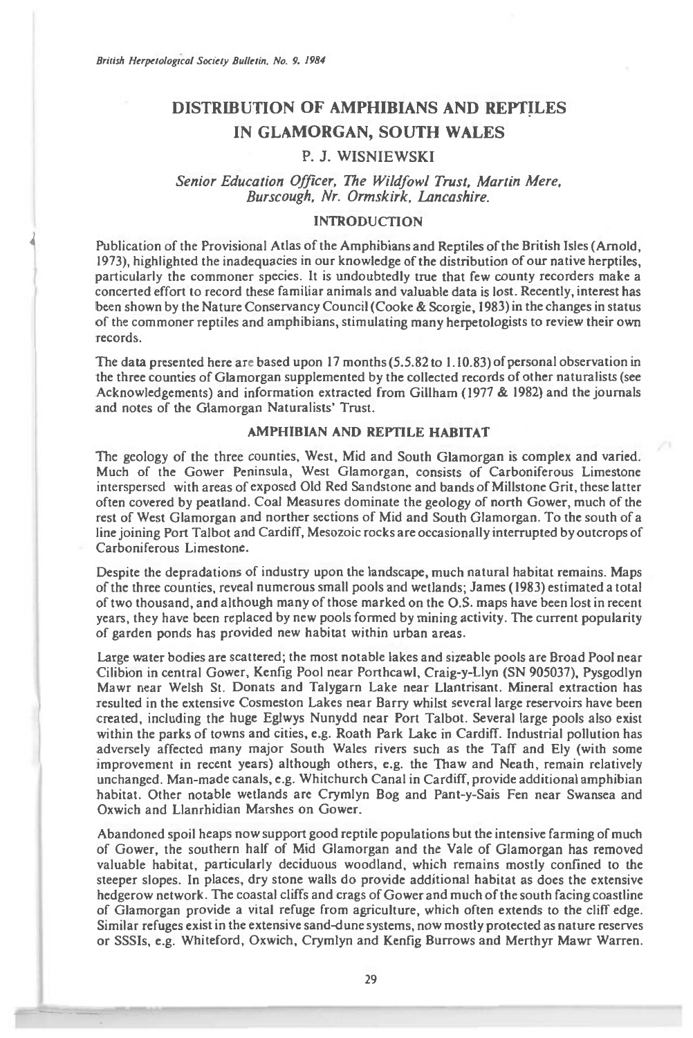# **DISTRIBUTION OF AMPHIBIANS AND REPTILES IN GLAMORGAN, SOUTH WALES**

# P. J. WISNIEWSKI

*Senior Education Officer, The Wildfowl Trust, Martin Mere, Burscough, Nr. Onnskirk, Lancashire.* 

# INTRODUCTION

Publication of the Provisional Atlas of the Amphibians and Reptiles of the British Isles (Arnold, 1973), highlighted the inadequacies in our knowledge of the distribution of our native herptiles, particularly the commoner species. It is undoubtedly true that few county recorders make a concerted effort to record these familiar animals and valuable data is lost. Recently, interest has been shown by the Nature Conservancy Council (Cooke & Scorgie, 1983) in the changes in status of the commoner reptiles and amphibians, stimulating many herpetologists to review their own records.

The data presented here are based upon 17 months  $(5.5.82 \text{ to } 1.10.83)$  of personal observation in the three counties of Glamorgan supplemented by the collected records of other naturalists (see Acknowledgements) and information extracted from Gillham (1977 & 1982) and the journals and notes of the Glamorgan Naturalists' Trust.

#### AMPHIBIAN AND REPTILE HABITAT

The geology of the three counties, West, Mid and South Glamorgan is complex and varied. Much of the Gower Peninsula, West Glamorgan, consists of Carboniferous Limestone interspersed with areas of exposed Old Red Sandstone and bands of Millstone Grit, these latter often covered by peatland. Coal Measures dominate the geology of north Gower, much of the rest of West Glamorgan and norther sections of Mid and South Glamorgan. To the south of a line joining Port Talbot and Cardiff, Mesozoic rocks are occasionally interrupted by outcrops of Carboniferous Limestone.

Despite the depradations of industry upon the landscape, much natural habitat remains. Maps of the three counties, reveal numerous small pools and wetlands; James (1983) estimated a total of two thousand, and although many of those marked on the O.S. maps have been lost in recent years, they have been replaced by new pools formed by mining activity. The current popularity of garden ponds has provided new habitat within urban areas.

Large water bodies are scattered; the most notable lakes and sizeable pools are Broad Pool near Cilibion in central Gower, Kenfig Pool near Porthcawl, Craig-y-Llyn (SN 905037), Pysgodlyn Mawr near Welsh St. Donats and Talygarn Lake near Llantrisant. Mineral extraction has resulted in the extensive Cosmeston Lakes near Barry whilst several large reservoirs have been created, including the huge Eglwys Nunydd near Port Talbot. Several large pools also exist within the parks of towns and cities, e.g. Roath Park Lake in Cardiff. Industrial pollution has adversely affected many major South Wales rivers such as the Taff and Ely (with some improvement in recent years) although others, e.g. the Thaw and Neath, remain relatively unchanged. Man-made canals, e.g. Whitchurch Canal in Cardiff, provide additional amphibian habitat. Other notable wetlands are Crymlyn Bog and Pant-y-Sais Fen near Swansea and Oxwich and Llanrhidian Marshes on Gower.

Abandoned spoil heaps now support good reptile populations but the intensive farming of much of Gower, the southern half of Mid Glamorgan and the Vale of Glamorgan has removed valuable habitat, particularly deciduous woodland, which remains mostly confined to the steeper slopes. In places, dry stone walls do provide additional habitat as does the extensive hedgerow network. The coastal cliffs and crags of Gower and much of the south facing coastline of Glamorgan provide a vital refuge from agriculture, which often extends to the cliff edge. Similar refuges exist in the extensive sand-dune systems, now mostly protected as nature reserves or SSSIs, e.g. Whiteford, Oxwich, Crymlyn and Kenfig Burrows and Merthyr Mawr Warren.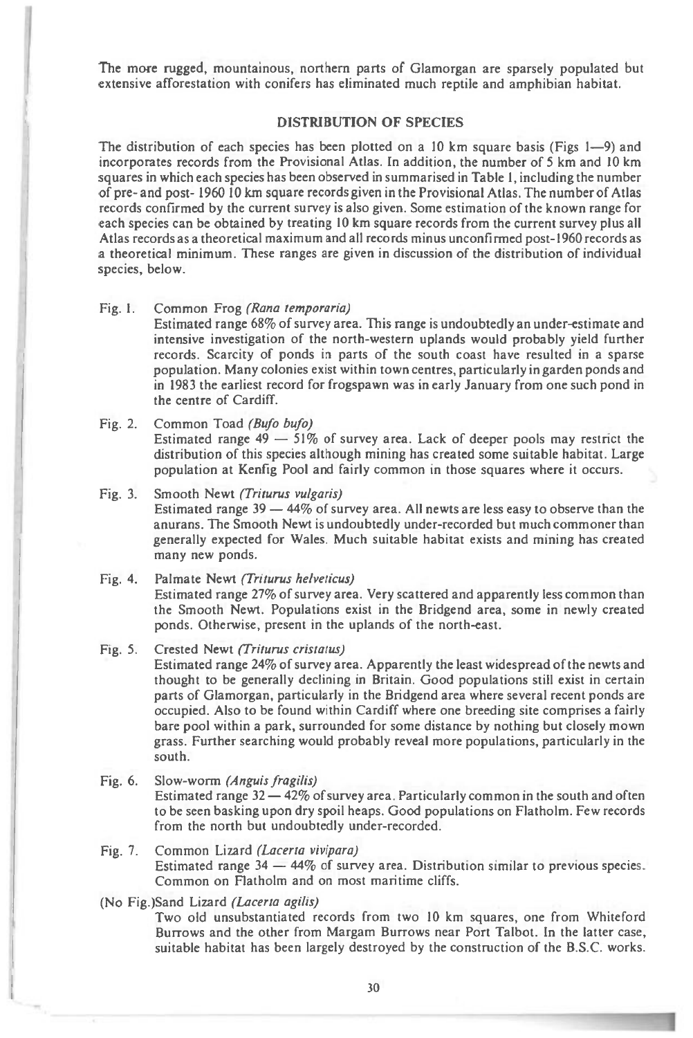The more rugged, mountainous, northern parts of Glamorgan are sparsely populated but extensive afforestation with conifers has eliminated much reptile and amphibian habitat.

#### **DISTRIBUTION OF SPECIES**

The distribution of each species has been plotted on a 10 km square basis (Figs  $1-9$ ) and incorporates records from the Provisional Atlas. In addition, the number of 5 km and 10 km squares in which each species has been observed in summarised in Table 1, including the number of pre- and post- 1960 10 km square records given in the Provisional Atlas. The number of Atlas records confirmed by the current survey is also given. Some estimation of the known range for each species can be obtained by treating 10 km square records from the current survey plus all Atlas records as a theoretical maximum and all records minus unconfirmed post-1960 records as a theoretical minimum. These ranges are given in discussion of the distribution of individual species, below.

#### Fig. I. Common Frog **(Rana temporaria)**

11 1

> Estimated range 68% of survey area. This range is undoubtedly an under-estimate and intensive investigation of the north-western uplands would probably yield further records. Scarcity of ponds in parts of the south coast have resulted in a sparse population. Many colonies exist within town centres, particularly in garden ponds and in 1983 the earliest record for frogspawn was in early January from one such pond in the centre of Cardiff.

Fig. 2. Common Toad **(Bufo bufo)** 

Estimated range  $49 - 51\%$  of survey area. Lack of deeper pools may restrict the distribution of this species although mining has created some suitable habitat. Large population at Kenfig Pool and fairly common in those squares where it occurs.

# Fig. 3. Smooth Newt **(Triturus vulgaris)**  Estimated range 39 — 44% of survey area. All newts are less easy to observe than the

anurans. The Smooth Newt is undoubtedly under-recorded but much commoner than generally expected for Wales. Much suitable habitat exists and mining has created many new ponds.

#### Fig. 4. Palmate Newt **(Triturus helveticus)**

Estimated range 27% of survey area. Very scattered and apparently less common than the Smooth Newt. Populations exist in the Bridgend area, some in newly created ponds. Otherwise, present in the uplands of the north-east.

## Fig. 5. Crested Newt **(Triturus cristatus)**

Estimated range 24% of survey area. Apparently the least widespread of the newts and thought to be generally declining in Britain. Good populations still exist in certain parts of Glamorgan, particularly in the Bridgend area where several recent ponds are occupied. Also to be found within Cardiff where one breeding site comprises a fairly bare pool within a park, surrounded for some distance by nothing but closely mown grass. Further searching would probably reveal more populations, particularly in the south.

#### Fig. 6. Slow-worm **(Anguis fragilis)**

Estimated range 32 — 42% of survey area. Particularly common in the south and often to be seen basking upon dry spoil heaps. Good populations on Flatholm. Few records from the north but undoubtedly under-recorded.

# Fig. 7. Common Lizard **(Lacerta vivipara)**

Estimated range 34 — 44% of survey area. Distribution similar to previous species. Common on Flatholm and on most maritime cliffs.

## (No Fig.)Sand Lizard **(Lacerta agilis)**

Two old unsubstantiated records from two 10 km squares, one from Whiteford Burrows and the other from Margam Burrows near Port Talbot. In the latter case, suitable habitat has been largely destroyed by the construction of the B.S.C. works.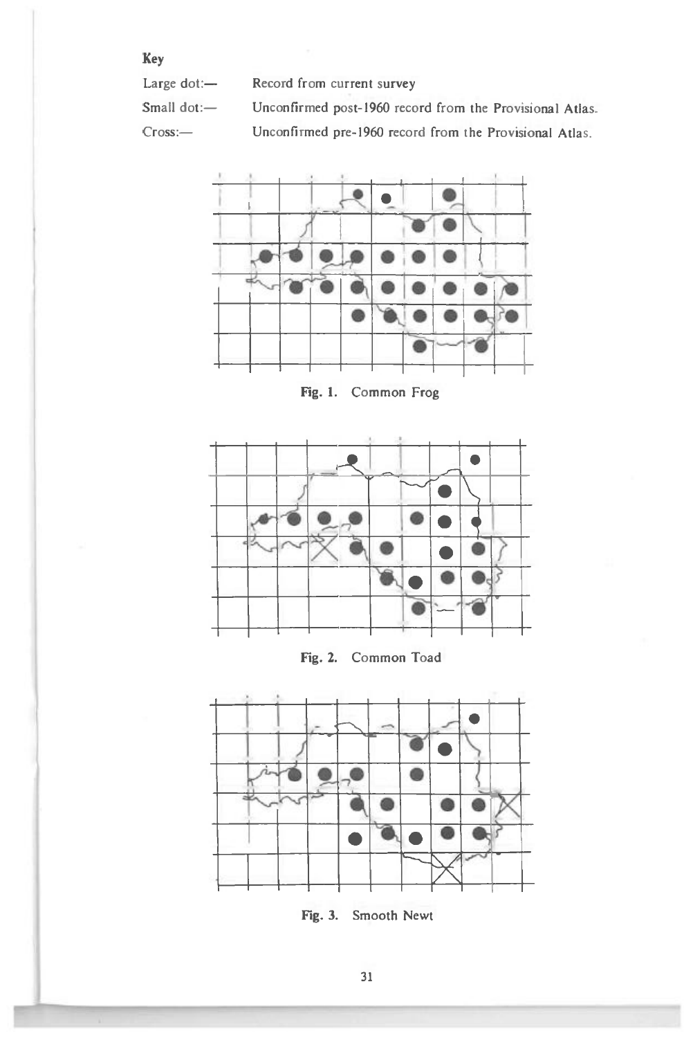Key

Large dot:-Record from current survey

Small dot:-Unconfirmed post-1960 record from the Provisional Atlas.

Cross:-

Unconfirmed pre-1960 record from the Provisional Atlas.



Fig. 1. Common Frog







Fig. 3. Smooth Newt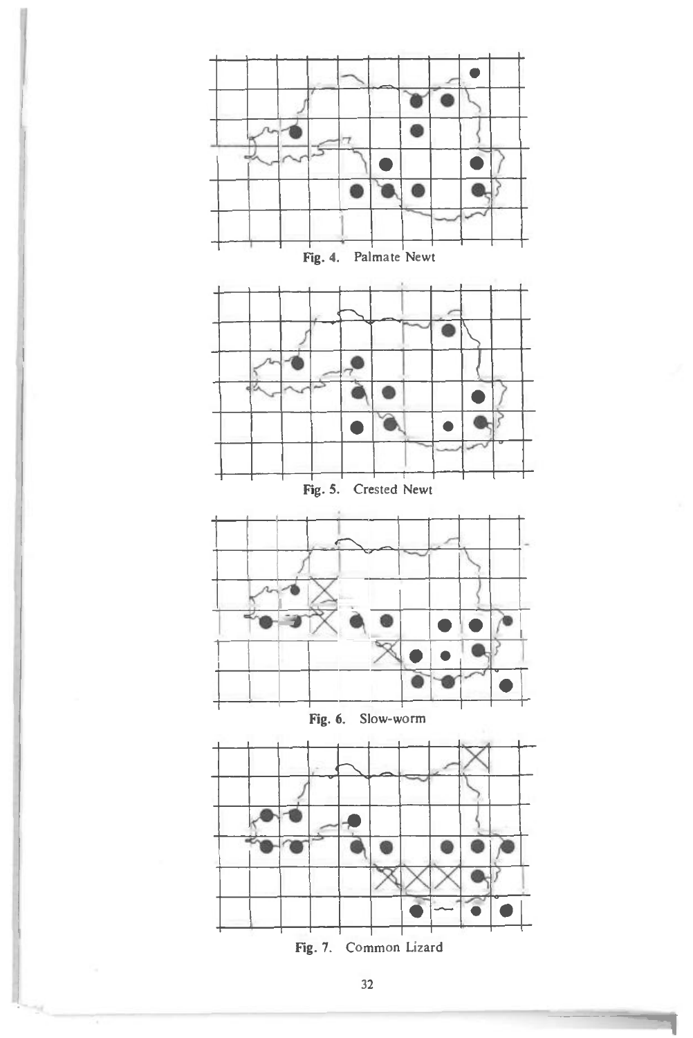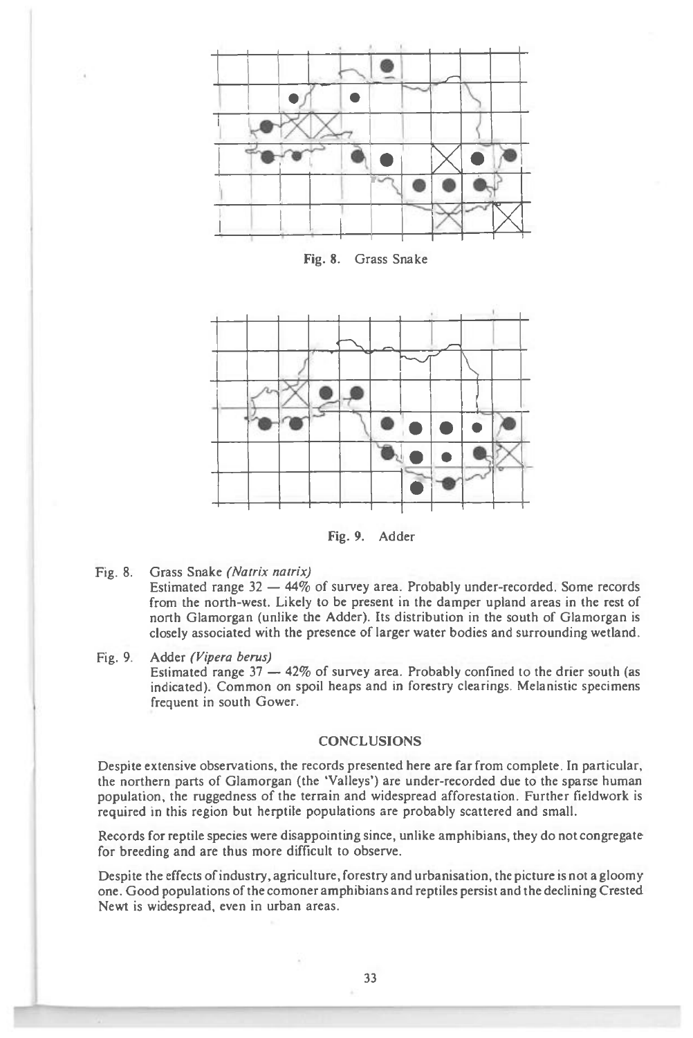

Fig. 8. Grass Snake



Fig. 9. Adder

Fig. 8. Grass Snake *(Natrix natrix)* 

Estimated range 32 — 44% of survey area. Probably under-recorded. Some records from the north-west. Likely to be present in the damper upland areas in the rest of north Glamorgan (unlike the Adder). Its distribution in the south of Glamorgan is closely associated with the presence of larger water bodies and surrounding wetland.

Fig. 9. Adder *(Vipers berms)*  Estimated range  $37 - 42\%$  of survey area. Probably confined to the drier south (as indicated). Common on spoil heaps and in forestry clearings. Melanistic specimens frequent in south Gower.

# **CONCLUSIONS**

Despite extensive observations, the records presented here are far from complete. In particular, the northern parts of Glamorgan (the 'Valleys') are under-recorded due to the sparse human population, the ruggedness of the terrain and widespread afforestation. Further fieldwork is required in this region but herptile populations are probably scattered and small.

Records for reptile species were disappointing since, unlike amphibians, they do not congregate for breeding and are thus more difficult to observe.

Despite the effects of industry, agriculture, forestry and urbanisation, the picture is not a gloomy one. Good populations of the comoner amphibians and reptiles persist and the declining Crested Newt is widespread, even in urban areas.